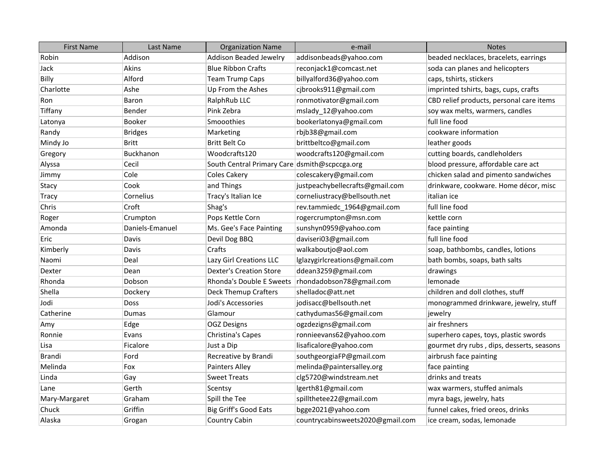| <b>First Name</b> | Last Name       | <b>Organization Name</b>                      | e-mail                           | <b>Notes</b>                              |
|-------------------|-----------------|-----------------------------------------------|----------------------------------|-------------------------------------------|
| Robin             | Addison         | <b>Addison Beaded Jewelry</b>                 | addisonbeads@yahoo.com           | beaded necklaces, bracelets, earrings     |
| Jack              | Akins           | <b>Blue Ribbon Crafts</b>                     | reconjack1@comcast.net           | soda can planes and helicopters           |
| Billy             | Alford          | <b>Team Trump Caps</b>                        | billyalford36@yahoo.com          | caps, tshirts, stickers                   |
| Charlotte         | Ashe            | Up From the Ashes                             | cjbrooks911@gmail.com            | imprinted tshirts, bags, cups, crafts     |
| Ron               | Baron           | RalphRub LLC                                  | ronmotivator@gmail.com           | CBD relief products, personal care items  |
| Tiffany           | Bender          | Pink Zebra                                    | mslady_12@yahoo.com              | soy wax melts, warmers, candles           |
| Latonya           | <b>Booker</b>   | Smooothies                                    | bookerlatonya@gmail.com          | full line food                            |
| Randy             | <b>Bridges</b>  | Marketing                                     | rbjb38@gmail.com                 | cookware information                      |
| Mindy Jo          | Britt           | <b>Britt Belt Co</b>                          | brittbeltco@gmail.com            | leather goods                             |
| Gregory           | Buckhanon       | Woodcrafts120                                 | woodcrafts120@gmail.com          | cutting boards, candleholders             |
| Alyssa            | Cecil           | South Central Primary Care dsmith@scpccga.org |                                  | blood pressure, affordable care act       |
| Jimmy             | Cole            | <b>Coles Cakery</b>                           | colescakery@gmail.com            | chicken salad and pimento sandwiches      |
| Stacy             | Cook            | and Things                                    | justpeachybellecrafts@gmail.com  | drinkware, cookware. Home décor, misc     |
| Tracy             | Cornelius       | Tracy's Italian Ice                           | corneliustracy@bellsouth.net     | italian ice                               |
| Chris             | Croft           | Shag's                                        | rev.tammiedc_1964@gmail.com      | full line food                            |
| Roger             | Crumpton        | Pops Kettle Corn                              | rogercrumpton@msn.com            | kettle corn                               |
| Amonda            | Daniels-Emanuel | Ms. Gee's Face Painting                       | sunshyn0959@yahoo.com            | face painting                             |
| Eric              | Davis           | Devil Dog BBQ                                 | daviseri03@gmail.com             | full line food                            |
| Kimberly          | Davis           | Crafts                                        | walkaboutjo@aol.com              | soap, bathbombs, candles, lotions         |
| Naomi             | Deal            | Lazy Girl Creations LLC                       | lglazygirlcreations@gmail.com    | bath bombs, soaps, bath salts             |
| Dexter            | Dean            | <b>Dexter's Creation Store</b>                | ddean3259@gmail.com              | drawings                                  |
| Rhonda            | Dobson          | Rhonda's Double E Sweets                      | rhondadobson78@gmail.com         | lemonade                                  |
| Shella            | Dockery         | Deck Themup Crafters                          | shelladoc@att.net                | children and doll clothes, stuff          |
| Jodi              | Doss            | Jodi's Accessories                            | jodisacc@bellsouth.net           | monogrammed drinkware, jewelry, stuff     |
| Catherine         | Dumas           | Glamour                                       | cathydumas56@gmail.com           | jewelry                                   |
| Amy               | Edge            | <b>OGZ Designs</b>                            | ogzdezigns@gmail.com             | air freshners                             |
| Ronnie            | Evans           | Christina's Capes                             | ronnieevans62@yahoo.com          | superhero capes, toys, plastic swords     |
| Lisa              | Ficalore        | Just a Dip                                    | lisaficalore@yahoo.com           | gourmet dry rubs, dips, desserts, seasons |
| <b>Brandi</b>     | Ford            | Recreative by Brandi                          | southgeorgiaFP@gmail.com         | airbrush face painting                    |
| Melinda           | Fox             | Painters Alley                                | melinda@paintersalley.org        | face painting                             |
| Linda             | Gay             | <b>Sweet Treats</b>                           | clg5720@windstream.net           | drinks and treats                         |
| Lane              | Gerth           | Scentsy                                       | lgerth81@gmail.com               | wax warmers, stuffed animals              |
| Mary-Margaret     | Graham          | Spill the Tee                                 | spillthetee22@gmail.com          | myra bags, jewelry, hats                  |
| Chuck             | Griffin         | Big Griff's Good Eats                         | bgge2021@yahoo.com               | funnel cakes, fried oreos, drinks         |
| Alaska            | Grogan          | <b>Country Cabin</b>                          | countrycabinsweets2020@gmail.com | ice cream, sodas, lemonade                |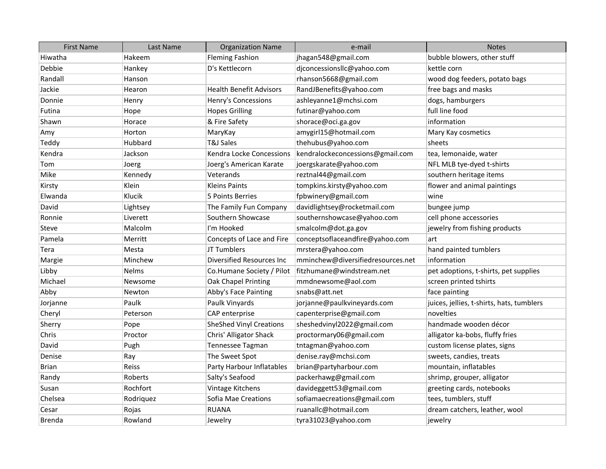| <b>First Name</b> | Last Name    | <b>Organization Name</b>       | e-mail                            | <b>Notes</b>                              |
|-------------------|--------------|--------------------------------|-----------------------------------|-------------------------------------------|
| Hiwatha           | Hakeem       | <b>Fleming Fashion</b>         | jhagan548@gmail.com               | bubble blowers, other stuff               |
| Debbie            | Hankey       | D's Kettlecorn                 | djconcessionsllc@yahoo.com        | kettle corn                               |
| Randall           | Hanson       |                                | rhanson5668@gmail.com             | wood dog feeders, potato bags             |
| Jackie            | Hearon       | <b>Health Benefit Advisors</b> | RandJBenefits@yahoo.com           | free bags and masks                       |
| Donnie            | Henry        | Henry's Concessions            | ashleyanne1@mchsi.com             | dogs, hamburgers                          |
| Futina            | Hope         | <b>Hopes Grilling</b>          | futinar@yahoo.com                 | full line food                            |
| Shawn             | Horace       | & Fire Safety                  | shorace@oci.ga.gov                | information                               |
| Amy               | Horton       | MaryKay                        | amygirl15@hotmail.com             | Mary Kay cosmetics                        |
| Teddy             | Hubbard      | <b>T&amp;J Sales</b>           | thehubus@yahoo.com                | sheets                                    |
| Kendra            | Jackson      | Kendra Locke Concessions       | kendralockeconcessions@gmail.com  | tea, lemonaide, water                     |
| Tom               | Joerg        | Joerg's American Karate        | joergskarate@yahoo.com            | NFL MLB tye-dyed t-shirts                 |
| Mike              | Kennedy      | Veterands                      | reztnal44@gmail.com               | southern heritage items                   |
| Kirsty            | Klein        | <b>Kleins Paints</b>           | tompkins.kirsty@yahoo.com         | flower and animal paintings               |
| Elwanda           | Klucik       | 5 Points Berries               | fpbwinery@gmail.com               | wine                                      |
| David             | Lightsey     | The Family Fun Company         | davidlightsey@rocketmail.com      | bungee jump                               |
| Ronnie            | Liverett     | Southern Showcase              | southernshowcase@yahoo.com        | cell phone accessories                    |
| <b>Steve</b>      | Malcolm      | I'm Hooked                     | smalcolm@dot.ga.gov               | jewelry from fishing products             |
| Pamela            | Merritt      | Concepts of Lace and Fire      | conceptsoflaceandfire@yahoo.com   | art                                       |
| Tera              | Mesta        | JT Tumblers                    | mrstera@yahoo.com                 | hand painted tumblers                     |
| Margie            | Minchew      | Diversified Resources Inc      | mminchew@diversifiedresources.net | information                               |
| Libby             | <b>Nelms</b> | Co.Humane Society / Pilot      | fitzhumane@windstream.net         | pet adoptions, t-shirts, pet supplies     |
| Michael           | Newsome      | Oak Chapel Printing            | mmdnewsome@aol.com                | screen printed tshirts                    |
| Abby              | Newton       | Abby's Face Painting           | snabs@att.net                     | face painting                             |
| Jorjanne          | Paulk        | Paulk Vinyards                 | jorjanne@paulkvineyards.com       | juices, jellies, t-shirts, hats, tumblers |
| Cheryl            | Peterson     | CAP enterprise                 | capenterprise@gmail.com           | novelties                                 |
| Sherry            | Pope         | <b>SheShed Vinyl Creations</b> | sheshedvinyl2022@gmail.com        | handmade wooden décor                     |
| Chris             | Proctor      | Chris' Alligator Shack         | proctormary06@gmail.com           | alligator ka-bobs, fluffy fries           |
| David             | Pugh         | Tennessee Tagman               | tntagman@yahoo.com                | custom license plates, signs              |
| Denise            | Ray          | The Sweet Spot                 | denise.ray@mchsi.com              | sweets, candies, treats                   |
| <b>Brian</b>      | Reiss        | Party Harbour Inflatables      | brian@partyharbour.com            | mountain, inflatables                     |
| Randy             | Roberts      | Salty's Seafood                | packerhawg@gmail.com              | shrimp, grouper, alligator                |
| Susan             | Rochfort     | Vintage Kitchens               | davideggett53@gmail.com           | greeting cards, notebooks                 |
| Chelsea           | Rodriguez    | Sofia Mae Creations            | sofiamaecreations@gmail.com       | tees, tumblers, stuff                     |
| Cesar             | Rojas        | <b>RUANA</b>                   | ruanallc@hotmail.com              | dream catchers, leather, wool             |
| <b>Brenda</b>     | Rowland      | Jewelry                        | tyra31023@yahoo.com               | jewelry                                   |